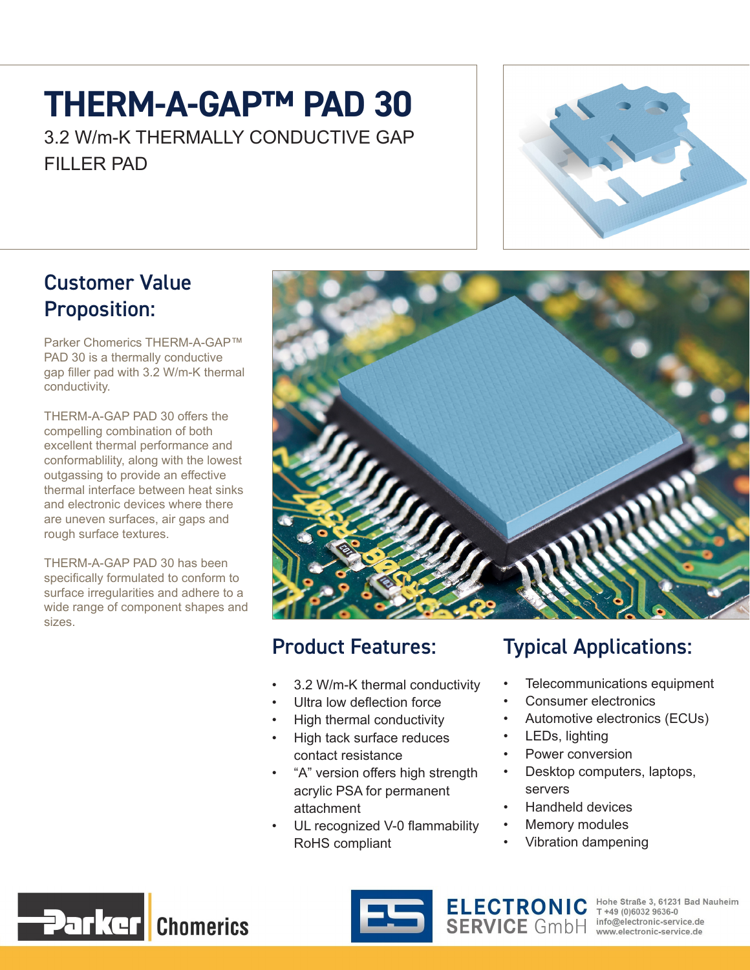# **THERM-A-GAP™ PAD 30**

3.2 W/m-K THERMALLY CONDUCTIVE GAP FILLER PAD



#### Customer Value Proposition:

Parker Chomerics THERM-A-GAP™ PAD 30 is a thermally conductive gap filler pad with 3.2 W/m-K thermal conductivity.

THERM-A-GAP PAD 30 offers the compelling combination of both excellent thermal performance and conformablility, along with the lowest outgassing to provide an effective thermal interface between heat sinks and electronic devices where there are uneven surfaces, air gaps and rough surface textures.

THERM-A-GAP PAD 30 has been specifically formulated to conform to surface irregularities and adhere to a wide range of component shapes and sizes.



#### Product Features:

- 3.2 W/m-K thermal conductivity
- Ultra low deflection force
- High thermal conductivity
- High tack surface reduces contact resistance
- "A" version offers high strength acrylic PSA for permanent attachment
- UL recognized V-0 flammability RoHS compliant

### Typical Applications:

- Telecommunications equipment
- Consumer electronics
- Automotive electronics (ECUs)
- LEDs, lighting
- Power conversion
- Desktop computers, laptops, servers
- Handheld devices
- Memory modules
- Vibration dampening





ELECTRONIC Hohe Straße 3, 61231 Bad Nauheim<br>SERVICE GmbH info@electronic-service.de<br>William Service.de www.electronic-service.de